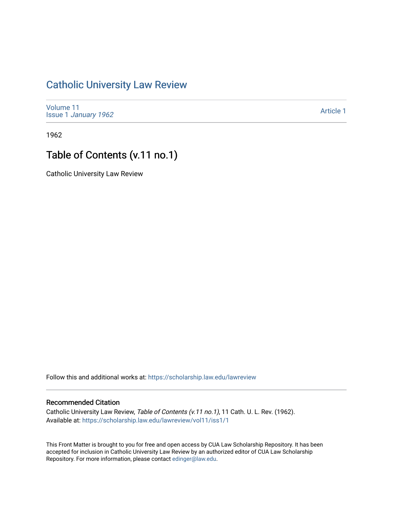## [Catholic University Law Review](https://scholarship.law.edu/lawreview)

[Volume 11](https://scholarship.law.edu/lawreview/vol11) Issue 1 [January 1962](https://scholarship.law.edu/lawreview/vol11/iss1)

[Article 1](https://scholarship.law.edu/lawreview/vol11/iss1/1) 

1962

## Table of Contents (v.11 no.1)

Catholic University Law Review

Follow this and additional works at: [https://scholarship.law.edu/lawreview](https://scholarship.law.edu/lawreview?utm_source=scholarship.law.edu%2Flawreview%2Fvol11%2Fiss1%2F1&utm_medium=PDF&utm_campaign=PDFCoverPages)

## Recommended Citation

Catholic University Law Review, Table of Contents (v.11 no.1), 11 Cath. U. L. Rev. (1962). Available at: [https://scholarship.law.edu/lawreview/vol11/iss1/1](https://scholarship.law.edu/lawreview/vol11/iss1/1?utm_source=scholarship.law.edu%2Flawreview%2Fvol11%2Fiss1%2F1&utm_medium=PDF&utm_campaign=PDFCoverPages)

This Front Matter is brought to you for free and open access by CUA Law Scholarship Repository. It has been accepted for inclusion in Catholic University Law Review by an authorized editor of CUA Law Scholarship Repository. For more information, please contact [edinger@law.edu.](mailto:edinger@law.edu)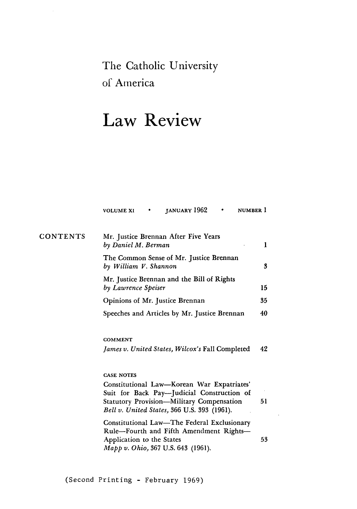The Catholic University of America

## **Law Review**

|          | JANUARY 1962<br>NUMBER 1<br><b>VOLUME XI</b><br>٠                                                                                                                                           |    |
|----------|---------------------------------------------------------------------------------------------------------------------------------------------------------------------------------------------|----|
| CONTENTS | Mr. Justice Brennan After Five Years<br>by Daniel M. Berman                                                                                                                                 | 1  |
|          | The Common Sense of Mr. Justice Brennan<br>by William V. Shannon                                                                                                                            | 3  |
|          | Mr. Justice Brennan and the Bill of Rights<br>by Lawrence Speiser                                                                                                                           | 15 |
|          | Opinions of Mr. Justice Brennan                                                                                                                                                             | 35 |
|          | Speeches and Articles by Mr. Justice Brennan                                                                                                                                                | 40 |
|          | COMMENT<br>James v. United States, Wilcox's Fall Completed                                                                                                                                  | 42 |
|          | <b>CASE NOTES</b>                                                                                                                                                                           |    |
|          | Constitutional Law-Korean War Expatriates'<br>Suit for Back Pay-Judicial Construction of<br><b>Statutory Provision-Military Compensation</b><br>Bell v. United States, 366 U.S. 393 (1961). | 51 |
|          | Constitutional Law—The Federal Exclusionary<br>Rule-Fourth and Fifth Amendment Rights-<br>Application to the States<br>Mapp v. Ohio, 367 U.S. 643 (1961).                                   | 53 |
|          |                                                                                                                                                                                             |    |

 $\sim$